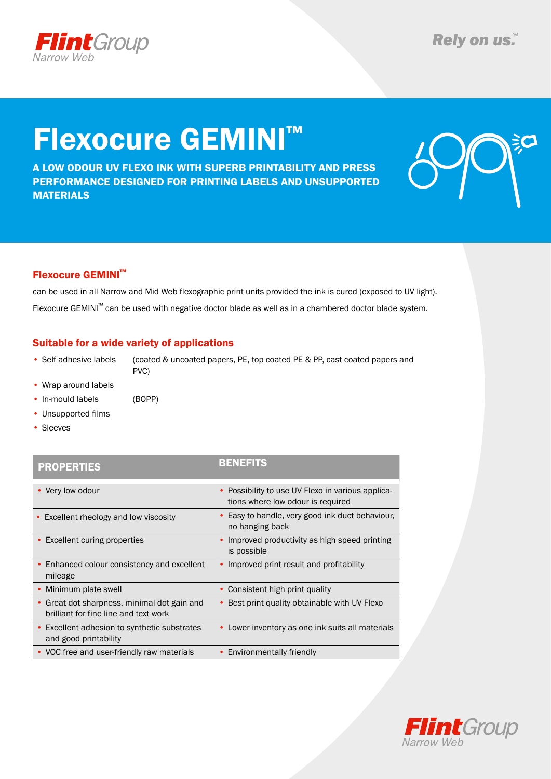

# Flexocure GEMINI™

A low Odour uv flexo ink with superb printability and press performance designed for printing labels and unsupported **MATERIALS** 



### Flexocure GEMINI™

can be used in all Narrow and Mid Web flexographic print units provided the ink is cured (exposed to UV light). Flexocure GEMINI™ can be used with negative doctor blade as well as in a chambered doctor blade system.

### Suitable for a wide variety of applications

• Self adhesive labels (coated & uncoated papers, PE, top coated PE & PP, cast coated papers and PVC)

- Wrap around labels
- In-mould labels (BOPP)
- Unsupported films
- Sleeves

### PROPERTIES BENEFITS

| • Very low odour                                                                     | • Possibility to use UV Flexo in various applica-<br>tions where low odour is required |
|--------------------------------------------------------------------------------------|----------------------------------------------------------------------------------------|
| • Excellent rheology and low viscosity                                               | • Easy to handle, very good ink duct behaviour,<br>no hanging back                     |
| • Excellent curing properties                                                        | Improved productivity as high speed printing<br>is possible                            |
| • Enhanced colour consistency and excellent<br>mileage                               | Improved print result and profitability                                                |
| • Minimum plate swell                                                                | Consistent high print quality                                                          |
| • Great dot sharpness, minimal dot gain and<br>brilliant for fine line and text work | • Best print quality obtainable with UV Flexo                                          |
| • Excellent adhesion to synthetic substrates<br>and good printability                | • Lower inventory as one ink suits all materials                                       |
| • VOC free and user-friendly raw materials                                           | • Environmentally friendly                                                             |